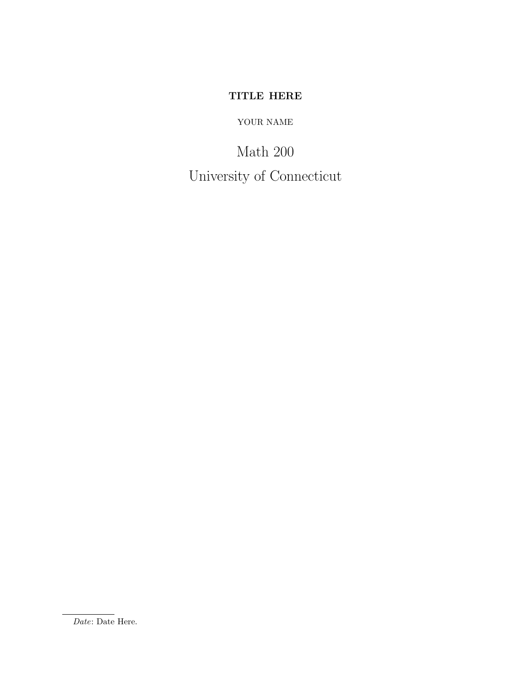# TITLE HERE

## YOUR NAME

Math 200 University of Connecticut

Date: Date Here.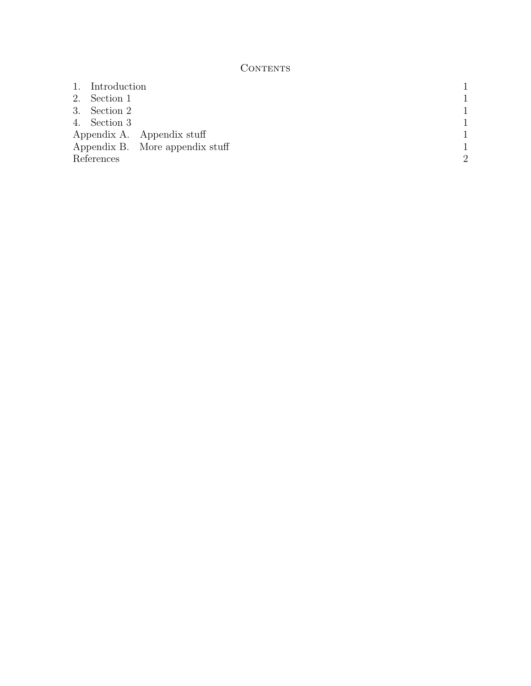## **CONTENTS**

|                            | 1. Introduction |                                 |               |
|----------------------------|-----------------|---------------------------------|---------------|
|                            | 2. Section 1    |                                 |               |
|                            | 3. Section 2    |                                 |               |
|                            | 4. Section 3    |                                 |               |
| Appendix A. Appendix stuff |                 |                                 |               |
|                            |                 | Appendix B. More appendix stuff |               |
| References                 |                 |                                 | $\mathcal{D}$ |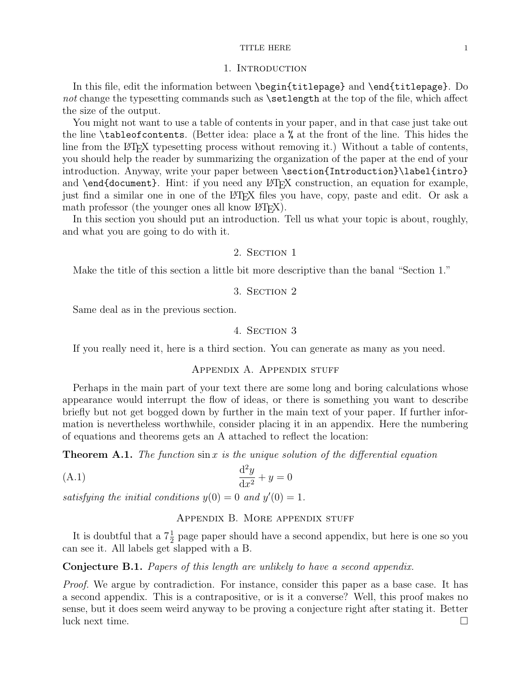#### TITLE HERE 1

#### 1. INTRODUCTION

In this file, edit the information between \begin{titlepage} and \end{titlepage}. Do not change the typesetting commands such as **\setlength** at the top of the file, which affect the size of the output.

You might not want to use a table of contents in your paper, and in that case just take out the line \tableofcontents. (Better idea: place a % at the front of the line. This hides the line from the LAT<sub>E</sub>X typesetting process without removing it.) Without a table of contents, you should help the reader by summarizing the organization of the paper at the end of your introduction. Anyway, write your paper between \section{Introduction}\label{intro} and  $\end{math}$  and  $\ldots$ . Hint: if you need any  $\mathbb{F}^X$  construction, an equation for example, just find a similar one in one of the LAT<sub>EX</sub> files you have, copy, paste and edit. Or ask a math professor (the younger ones all know  $\langle \text{H} \rangle$ ).

In this section you should put an introduction. Tell us what your topic is about, roughly, and what you are going to do with it.

## 2. SECTION 1

Make the title of this section a little bit more descriptive than the banal "Section 1."

## 3. SECTION 2

Same deal as in the previous section.

### 4. Section 3

If you really need it, here is a third section. You can generate as many as you need.

## Appendix A. Appendix stuff

Perhaps in the main part of your text there are some long and boring calculations whose appearance would interrupt the flow of ideas, or there is something you want to describe briefly but not get bogged down by further in the main text of your paper. If further information is nevertheless worthwhile, consider placing it in an appendix. Here the numbering of equations and theorems gets an A attached to reflect the location:

**Theorem A.1.** The function  $\sin x$  is the unique solution of the differential equation

$$
\frac{\mathrm{d}^2 y}{\mathrm{d}x^2} + y = 0
$$

satisfying the initial conditions  $y(0) = 0$  and  $y'(0) = 1$ .

#### APPENDIX B. MORE APPENDIX STUFF

It is doubtful that a  $7\frac{1}{2}$  page paper should have a second appendix, but here is one so you can see it. All labels get slapped with a B.

#### Conjecture B.1. Papers of this length are unlikely to have a second appendix.

Proof. We argue by contradiction. For instance, consider this paper as a base case. It has a second appendix. This is a contrapositive, or is it a converse? Well, this proof makes no sense, but it does seem weird anyway to be proving a conjecture right after stating it. Better luck next time.  $\Box$